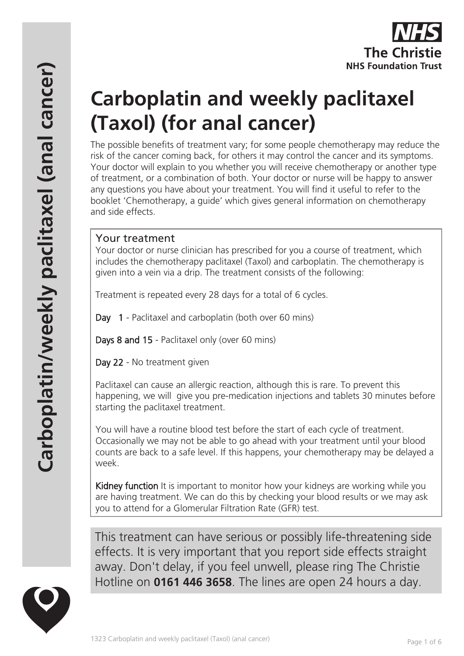# **Carboplatin and weekly paclitaxel (Taxol) (for anal cancer)**

The possible benefits of treatment vary; for some people chemotherapy may reduce the risk of the cancer coming back, for others it may control the cancer and its symptoms. Your doctor will explain to you whether you will receive chemotherapy or another type of treatment, or a combination of both. Your doctor or nurse will be happy to answer any questions you have about your treatment. You will find it useful to refer to the booklet 'Chemotherapy, a guide' which gives general information on chemotherapy and side effects.

# Your treatment

Your doctor or nurse clinician has prescribed for you a course of treatment, which includes the chemotherapy paclitaxel (Taxol) and carboplatin. The chemotherapy is given into a vein via a drip. The treatment consists of the following:

Treatment is repeated every 28 days for a total of 6 cycles.

Day 1 - Paclitaxel and carboplatin (both over 60 mins)

Days 8 and 15 - Paclitaxel only (over 60 mins)

Day 22 - No treatment given

Paclitaxel can cause an allergic reaction, although this is rare. To prevent this happening, we will give you pre-medication injections and tablets 30 minutes before starting the paclitaxel treatment.

You will have a routine blood test before the start of each cycle of treatment. Occasionally we may not be able to go ahead with your treatment until your blood counts are back to a safe level. If this happens, your chemotherapy may be delayed a week.

Kidney function It is important to monitor how your kidneys are working while you are having treatment. We can do this by checking your blood results or we may ask you to attend for a Glomerular Filtration Rate (GFR) test.

This treatment can have serious or possibly life-threatening side effects. It is very important that you report side effects straight away. Don't delay, if you feel unwell, please ring The Christie Hotline on **0161 446 3658**. The lines are open 24 hours a day.

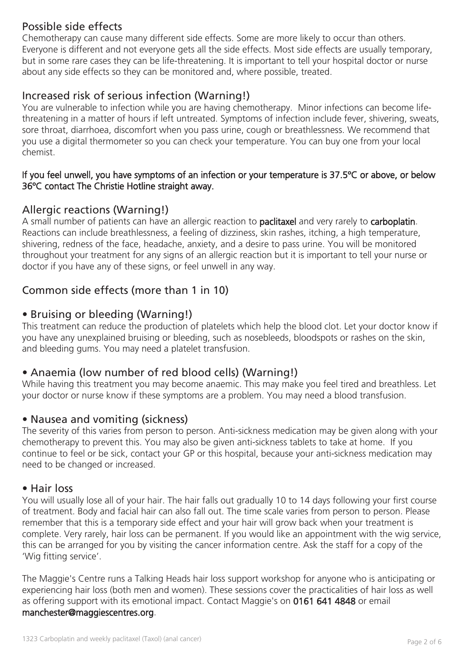# Possible side effects

Chemotherapy can cause many different side effects. Some are more likely to occur than others. Everyone is different and not everyone gets all the side effects. Most side effects are usually temporary, but in some rare cases they can be life-threatening. It is important to tell your hospital doctor or nurse about any side effects so they can be monitored and, where possible, treated.

# Increased risk of serious infection (Warning!)

You are vulnerable to infection while you are having chemotherapy. Minor infections can become lifethreatening in a matter of hours if left untreated. Symptoms of infection include fever, shivering, sweats, sore throat, diarrhoea, discomfort when you pass urine, cough or breathlessness. We recommend that you use a digital thermometer so you can check your temperature. You can buy one from your local chemist.

#### If you feel unwell, you have symptoms of an infection or your temperature is 37.5ºC or above, or below 36ºC contact The Christie Hotline straight away.

# Allergic reactions (Warning!)

A small number of patients can have an allergic reaction to **paclitaxel** and very rarely to **carboplatin**. Reactions can include breathlessness, a feeling of dizziness, skin rashes, itching, a high temperature, shivering, redness of the face, headache, anxiety, and a desire to pass urine. You will be monitored throughout your treatment for any signs of an allergic reaction but it is important to tell your nurse or doctor if you have any of these signs, or feel unwell in any way.

# Common side effects (more than 1 in 10)

## • Bruising or bleeding (Warning!)

This treatment can reduce the production of platelets which help the blood clot. Let your doctor know if you have any unexplained bruising or bleeding, such as nosebleeds, bloodspots or rashes on the skin, and bleeding gums. You may need a platelet transfusion.

# • Anaemia (low number of red blood cells) (Warning!)

While having this treatment you may become anaemic. This may make you feel tired and breathless. Let your doctor or nurse know if these symptoms are a problem. You may need a blood transfusion.

#### • Nausea and vomiting (sickness)

The severity of this varies from person to person. Anti-sickness medication may be given along with your chemotherapy to prevent this. You may also be given anti-sickness tablets to take at home. If you continue to feel or be sick, contact your GP or this hospital, because your anti-sickness medication may need to be changed or increased.

#### • Hair loss

You will usually lose all of your hair. The hair falls out gradually 10 to 14 days following your first course of treatment. Body and facial hair can also fall out. The time scale varies from person to person. Please remember that this is a temporary side effect and your hair will grow back when your treatment is complete. Very rarely, hair loss can be permanent. If you would like an appointment with the wig service, this can be arranged for you by visiting the cancer information centre. Ask the staff for a copy of the 'Wig fitting service'.

The Maggie's Centre runs a Talking Heads hair loss support workshop for anyone who is anticipating or experiencing hair loss (both men and women). These sessions cover the practicalities of hair loss as well as offering support with its emotional impact. Contact Maggie's on 0161 641 4848 or email manchester@maggiescentres.org.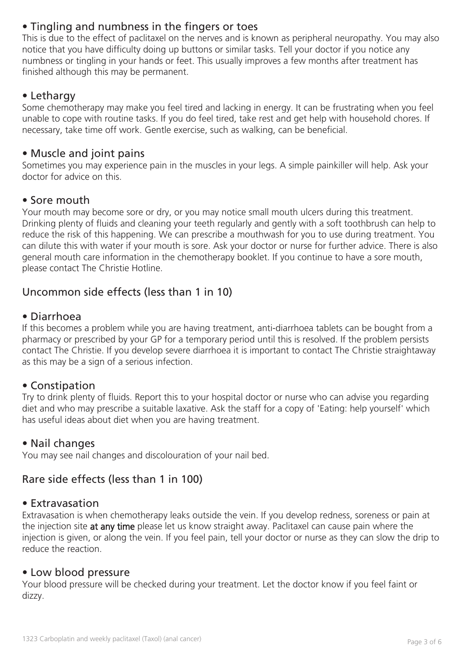# • Tingling and numbness in the fingers or toes

This is due to the effect of paclitaxel on the nerves and is known as peripheral neuropathy. You may also notice that you have difficulty doing up buttons or similar tasks. Tell your doctor if you notice any numbness or tingling in your hands or feet. This usually improves a few months after treatment has finished although this may be permanent.

# • Lethargy

Some chemotherapy may make you feel tired and lacking in energy. It can be frustrating when you feel unable to cope with routine tasks. If you do feel tired, take rest and get help with household chores. If necessary, take time off work. Gentle exercise, such as walking, can be beneficial.

### • Muscle and joint pains

Sometimes you may experience pain in the muscles in your legs. A simple painkiller will help. Ask your doctor for advice on this.

## • Sore mouth

Your mouth may become sore or dry, or you may notice small mouth ulcers during this treatment. Drinking plenty of fluids and cleaning your teeth regularly and gently with a soft toothbrush can help to reduce the risk of this happening. We can prescribe a mouthwash for you to use during treatment. You can dilute this with water if your mouth is sore. Ask your doctor or nurse for further advice. There is also general mouth care information in the chemotherapy booklet. If you continue to have a sore mouth, please contact The Christie Hotline.

# Uncommon side effects (less than 1 in 10)

#### • Diarrhoea

If this becomes a problem while you are having treatment, anti-diarrhoea tablets can be bought from a pharmacy or prescribed by your GP for a temporary period until this is resolved. If the problem persists contact The Christie. If you develop severe diarrhoea it is important to contact The Christie straightaway as this may be a sign of a serious infection.

#### • Constipation

Try to drink plenty of fluids. Report this to your hospital doctor or nurse who can advise you regarding diet and who may prescribe a suitable laxative. Ask the staff for a copy of 'Eating: help yourself' which has useful ideas about diet when you are having treatment.

#### • Nail changes

You may see nail changes and discolouration of your nail bed.

# Rare side effects (less than 1 in 100)

#### • Extravasation

Extravasation is when chemotherapy leaks outside the vein. If you develop redness, soreness or pain at the injection site at any time please let us know straight away. Paclitaxel can cause pain where the injection is given, or along the vein. If you feel pain, tell your doctor or nurse as they can slow the drip to reduce the reaction.

#### • Low blood pressure

Your blood pressure will be checked during your treatment. Let the doctor know if you feel faint or dizzy.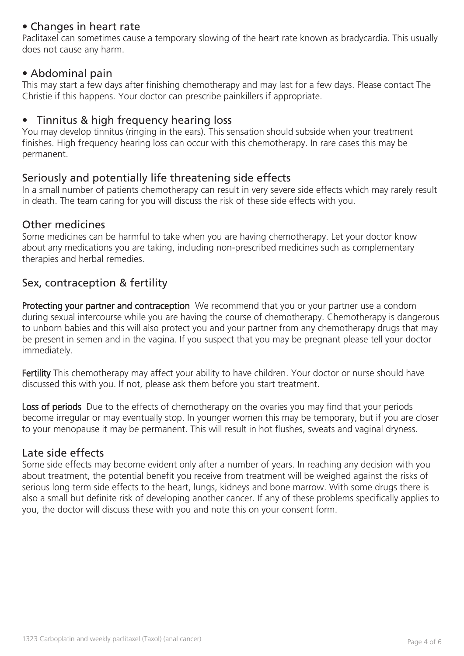# • Changes in heart rate

Paclitaxel can sometimes cause a temporary slowing of the heart rate known as bradycardia. This usually does not cause any harm.

#### • Abdominal pain

This may start a few days after finishing chemotherapy and may last for a few days. Please contact The Christie if this happens. Your doctor can prescribe painkillers if appropriate.

## • Tinnitus & high frequency hearing loss

You may develop tinnitus (ringing in the ears). This sensation should subside when your treatment finishes. High frequency hearing loss can occur with this chemotherapy. In rare cases this may be permanent.

## Seriously and potentially life threatening side effects

In a small number of patients chemotherapy can result in very severe side effects which may rarely result in death. The team caring for you will discuss the risk of these side effects with you.

#### Other medicines

Some medicines can be harmful to take when you are having chemotherapy. Let your doctor know about any medications you are taking, including non-prescribed medicines such as complementary therapies and herbal remedies.

# Sex, contraception & fertility

Protecting your partner and contraception We recommend that you or your partner use a condom during sexual intercourse while you are having the course of chemotherapy. Chemotherapy is dangerous to unborn babies and this will also protect you and your partner from any chemotherapy drugs that may be present in semen and in the vagina. If you suspect that you may be pregnant please tell your doctor immediately.

Fertility This chemotherapy may affect your ability to have children. Your doctor or nurse should have discussed this with you. If not, please ask them before you start treatment.

Loss of periods Due to the effects of chemotherapy on the ovaries you may find that your periods become irregular or may eventually stop. In younger women this may be temporary, but if you are closer to your menopause it may be permanent. This will result in hot flushes, sweats and vaginal dryness.

#### Late side effects

Some side effects may become evident only after a number of years. In reaching any decision with you about treatment, the potential benefit you receive from treatment will be weighed against the risks of serious long term side effects to the heart, lungs, kidneys and bone marrow. With some drugs there is also a small but definite risk of developing another cancer. If any of these problems specifically applies to you, the doctor will discuss these with you and note this on your consent form.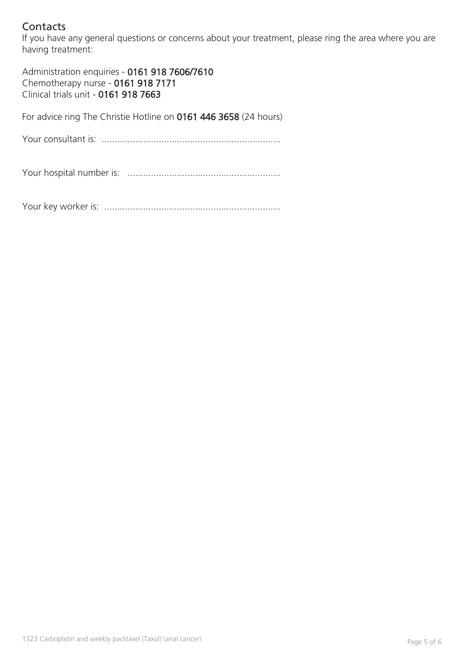# **Contacts**

If you have any general questions or concerns about your treatment, please ring the area where you are having treatment:

Administration enquiries - 0161 918 7606/7610 Chemotherapy nurse - 0161 918 7171 Clinical trials unit - 0161 918 7663

For advice ring The Christie Hotline on 0161 446 3658 (24 hours)

Your consultant is: .....................................................................

Your hospital number is: ...........................................................

Your key worker is: ....................................................................